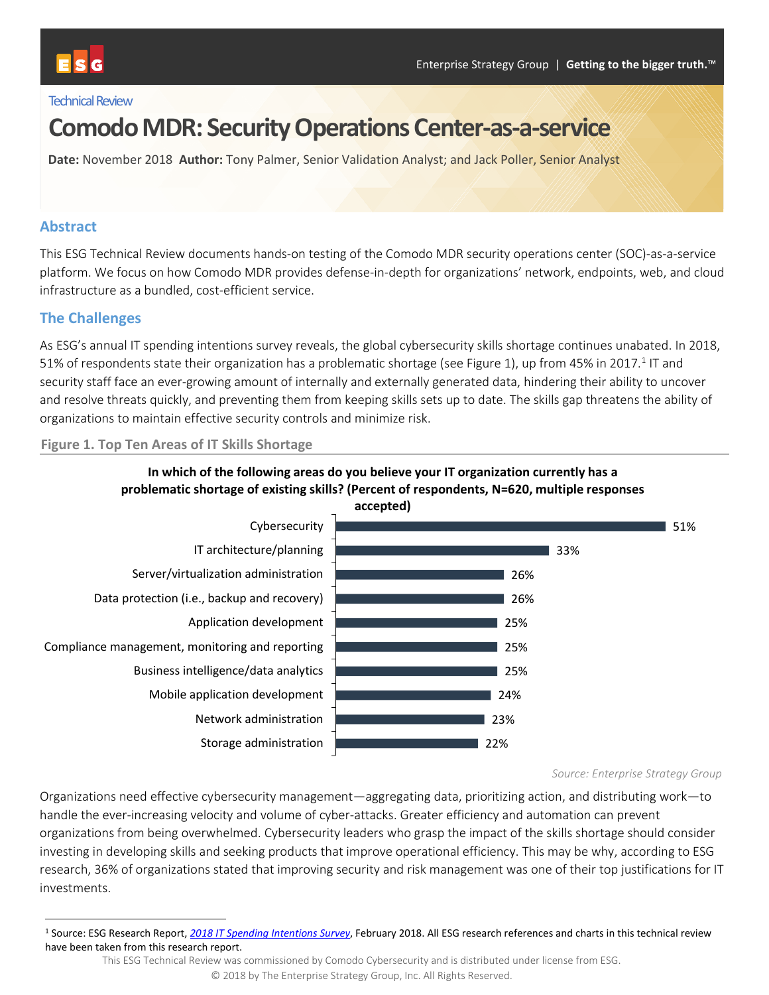### **Technical Review**

# **Comodo MDR: Security Operations Center-as-a-service**

**Date:** November 2018 **Author:** Tony Palmer, Senior Validation Analyst; and Jack Poller, Senior Analyst

### **Abstract**

This ESG Technical Review documents hands-on testing of the Comodo MDR security operations center (SOC)-as-a-service platform. We focus on how Comodo MDR provides defense-in-depth for organizations' network, endpoints, web, and cloud infrastructure as a bundled, cost-efficient service.

### **The Challenges**

As ESG's annual IT spending intentions survey reveals, the global cybersecurity skills shortage continues unabated. In 2018, 51% of respondents state their organization has a problematic shortage (se[e Figure 1\)](#page-0-0), up from 45% in 20[1](#page-0-1)7.<sup>1</sup> IT and security staff face an ever-growing amount of internally and externally generated data, hindering their ability to uncover and resolve threats quickly, and preventing them from keeping skills sets up to date. The skills gap threatens the ability of organizations to maintain effective security controls and minimize risk.

#### <span id="page-0-0"></span>**Figure 1. Top Ten Areas of IT Skills Shortage**



*Source: Enterprise Strategy Group*

Organizations need effective cybersecurity management—aggregating data, prioritizing action, and distributing work—to handle the ever-increasing velocity and volume of cyber-attacks. Greater efficiency and automation can prevent organizations from being overwhelmed. Cybersecurity leaders who grasp the impact of the skills shortage should consider investing in developing skills and seeking products that improve operational efficiency. This may be why, according to ESG research, 36% of organizations stated that improving security and risk management was one of their top justifications for IT investments.

<span id="page-0-1"></span> <sup>1</sup> Source: ESG Research Report, *[2018 IT Spending Intentions Survey](https://research.esg-global.com/reportaction/2018IT_SpendingIntentions/Toc)*, February 2018. All ESG research references and charts in this technical review have been taken from this research report.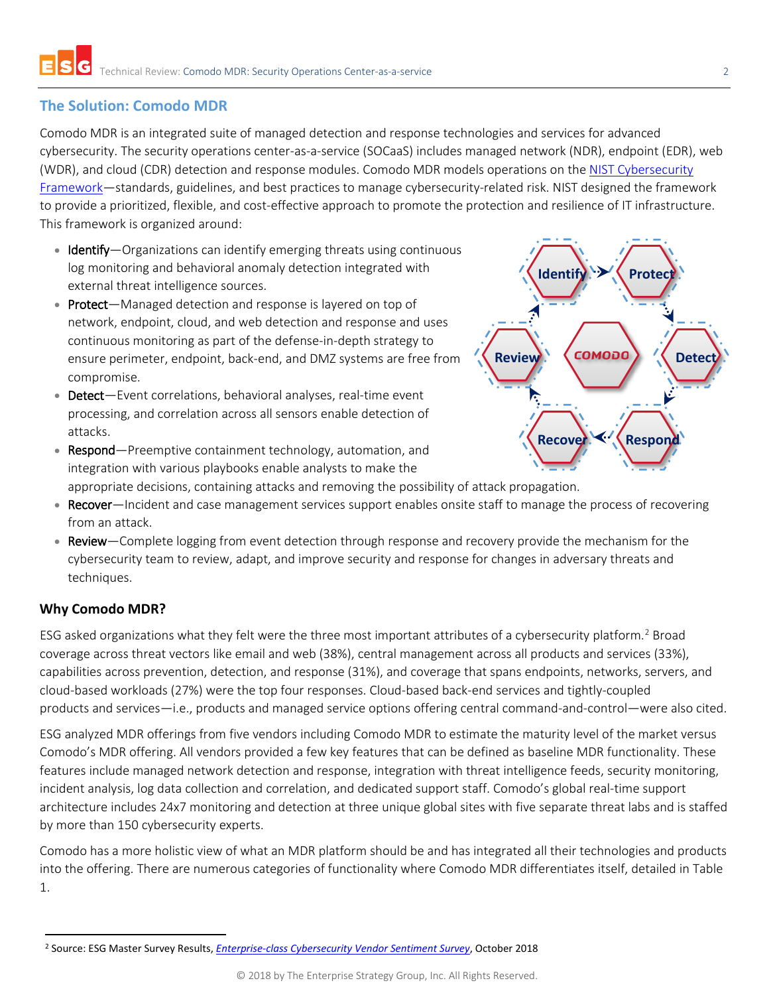## **The Solution: Comodo MDR**

Comodo MDR is an integrated suite of managed detection and response technologies and services for advanced cybersecurity. The security operations center-as-a-service (SOCaaS) includes managed network (NDR), endpoint (EDR), web (WDR), and cloud (CDR) detection and response modules. Comodo MDR models operations on the [NIST Cybersecurity](https://www.nist.gov/cyberframework)  [Framework—](https://www.nist.gov/cyberframework)standards, guidelines, and best practices to manage cybersecurity-related risk. NIST designed the framework to provide a prioritized, flexible, and cost-effective approach to promote the protection and resilience of IT infrastructure. This framework is organized around:

- Identify-Organizations can identify emerging threats using continuous log monitoring and behavioral anomaly detection integrated with external threat intelligence sources.
- Protect-Managed detection and response is layered on top of network, endpoint, cloud, and web detection and response and uses continuous monitoring as part of the defense-in-depth strategy to ensure perimeter, endpoint, back-end, and DMZ systems are free from compromise.
- Detect-Event correlations, behavioral analyses, real-time event processing, and correlation across all sensors enable detection of attacks.
- Respond—Preemptive containment technology, automation, and integration with various playbooks enable analysts to make the appropriate decisions, containing attacks and removing the possibility of attack propagation.



- Recover—Incident and case management services support enables onsite staff to manage the process of recovering from an attack.
- Review—Complete logging from event detection through response and recovery provide the mechanism for the cybersecurity team to review, adapt, and improve security and response for changes in adversary threats and techniques.

## **Why Comodo MDR?**

ESG asked organizations what they felt were the three most important attributes of a cybersecurity platform.[2](#page-1-0) Broad coverage across threat vectors like email and web (38%), central management across all products and services (33%), capabilities across prevention, detection, and response (31%), and coverage that spans endpoints, networks, servers, and cloud-based workloads (27%) were the top four responses. Cloud-based back-end services and tightly-coupled products and services—i.e., products and managed service options offering central command-and-control—were also cited.

ESG analyzed MDR offerings from five vendors including Comodo MDR to estimate the maturity level of the market versus Comodo's MDR offering. All vendors provided a few key features that can be defined as baseline MDR functionality. These features include managed network detection and response, integration with threat intelligence feeds, security monitoring, incident analysis, log data collection and correlation, and dedicated support staff. Comodo's global real-time support architecture includes 24x7 monitoring and detection at three unique global sites with five separate threat labs and is staffed by more than 150 cybersecurity experts.

Comodo has a more holistic view of what an MDR platform should be and has integrated all their technologies and products into the offering. There are numerous categories of functionality where Comodo MDR differentiates itself, detailed in [Table](#page-2-0)  [1.](#page-2-0)

<span id="page-1-0"></span> <sup>2</sup> Source: ESG Master Survey Results, *[Enterprise-class Cybersecurity Vendor Sentiment Survey](https://research.esg-global.com/reportaction/enterpriseclasscybersecurityvendorsentiment/Toc)*, October 2018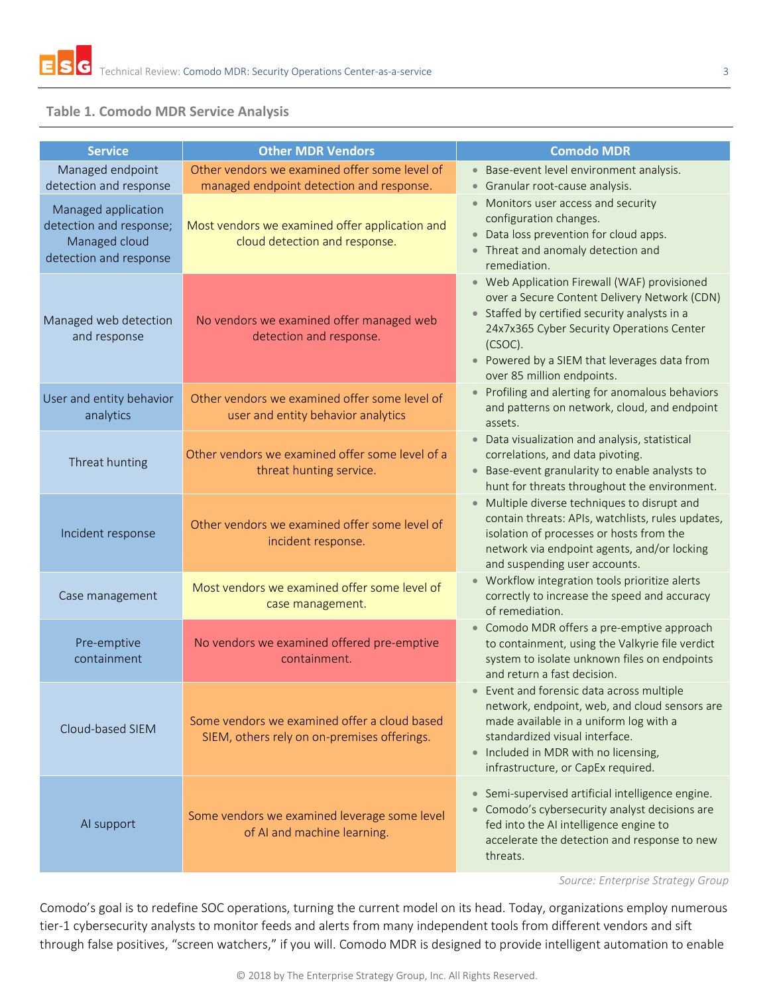

### <span id="page-2-0"></span>**Table 1. Comodo MDR Service Analysis**

| <b>Service</b>                                                                                                      | <b>Other MDR Vendors</b>                                                                                                    | <b>Comodo MDR</b>                                                                                                                                                                                                                                                                   |  |  |  |
|---------------------------------------------------------------------------------------------------------------------|-----------------------------------------------------------------------------------------------------------------------------|-------------------------------------------------------------------------------------------------------------------------------------------------------------------------------------------------------------------------------------------------------------------------------------|--|--|--|
| Managed endpoint                                                                                                    | Other vendors we examined offer some level of                                                                               | • Base-event level environment analysis.                                                                                                                                                                                                                                            |  |  |  |
| detection and response<br>Managed application<br>detection and response;<br>Managed cloud<br>detection and response | managed endpoint detection and response.<br>Most vendors we examined offer application and<br>cloud detection and response. | Granular root-cause analysis.<br>$\bullet$<br>Monitors user access and security<br>$\bullet$<br>configuration changes.<br>• Data loss prevention for cloud apps.<br>Threat and anomaly detection and<br>$\bullet$<br>remediation.                                                   |  |  |  |
| Managed web detection<br>and response                                                                               | No vendors we examined offer managed web<br>detection and response.                                                         | • Web Application Firewall (WAF) provisioned<br>over a Secure Content Delivery Network (CDN)<br>• Staffed by certified security analysts in a<br>24x7x365 Cyber Security Operations Center<br>(CSOC).<br>• Powered by a SIEM that leverages data from<br>over 85 million endpoints. |  |  |  |
| User and entity behavior<br>analytics                                                                               | Other vendors we examined offer some level of<br>user and entity behavior analytics                                         | Profiling and alerting for anomalous behaviors<br>$\bullet$<br>and patterns on network, cloud, and endpoint<br>assets.                                                                                                                                                              |  |  |  |
| Threat hunting                                                                                                      | Other vendors we examined offer some level of a<br>threat hunting service.                                                  | • Data visualization and analysis, statistical<br>correlations, and data pivoting.<br>• Base-event granularity to enable analysts to<br>hunt for threats throughout the environment.                                                                                                |  |  |  |
| Incident response                                                                                                   | Other vendors we examined offer some level of<br>incident response.                                                         | Multiple diverse techniques to disrupt and<br>$\bullet$<br>contain threats: APIs, watchlists, rules updates,<br>isolation of processes or hosts from the<br>network via endpoint agents, and/or locking<br>and suspending user accounts.                                            |  |  |  |
| Case management                                                                                                     | Most vendors we examined offer some level of<br>case management.                                                            | Workflow integration tools prioritize alerts<br>correctly to increase the speed and accuracy<br>of remediation.                                                                                                                                                                     |  |  |  |
| Pre-emptive<br>containment                                                                                          | No vendors we examined offered pre-emptive<br>containment.                                                                  | Comodo MDR offers a pre-emptive approach<br>$\bullet$<br>to containment, using the Valkyrie file verdict<br>system to isolate unknown files on endpoints<br>and return a fast decision.                                                                                             |  |  |  |
| Cloud-based SIEM                                                                                                    | Some vendors we examined offer a cloud based<br>SIEM, others rely on on-premises offerings.                                 | • Event and forensic data across multiple<br>network, endpoint, web, and cloud sensors are<br>made available in a uniform log with a<br>standardized visual interface.<br>• Included in MDR with no licensing,<br>infrastructure, or CapEx required.                                |  |  |  |
| Al support                                                                                                          | Some vendors we examined leverage some level<br>of AI and machine learning.                                                 | Semi-supervised artificial intelligence engine.<br>$\bullet$<br>Comodo's cybersecurity analyst decisions are<br>$\bullet$<br>fed into the AI intelligence engine to<br>accelerate the detection and response to new<br>threats.                                                     |  |  |  |

*Source: Enterprise Strategy Group*

Comodo's goal is to redefine SOC operations, turning the current model on its head. Today, organizations employ numerous tier-1 cybersecurity analysts to monitor feeds and alerts from many independent tools from different vendors and sift through false positives, "screen watchers," if you will. Comodo MDR is designed to provide intelligent automation to enable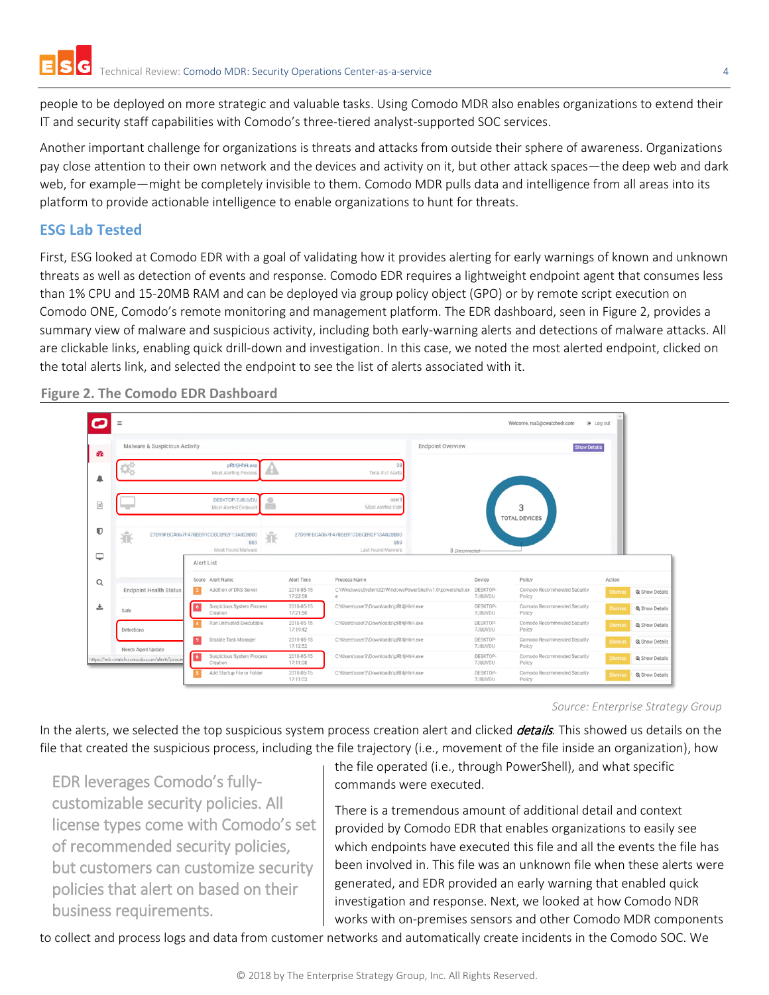people to be deployed on more strategic and valuable tasks. Using Comodo MDR also enables organizations to extend their IT and security staff capabilities with Comodo's three-tiered analyst-supported SOC services.

Another important challenge for organizations is threats and attacks from outside their sphere of awareness. Organizations pay close attention to their own network and the devices and activity on it, but other attack spaces—the deep web and dark web, for example—might be completely invisible to them. Comodo MDR pulls data and intelligence from all areas into its platform to provide actionable intelligence to enable organizations to hunt for threats.

## **ESG Lab Tested**

First, ESG looked at Comodo EDR with a goal of validating how it provides alerting for early warnings of known and unknown threats as well as detection of events and response. Comodo EDR requires a lightweight endpoint agent that consumes less than 1% CPU and 15-20MB RAM and can be deployed via group policy object (GPO) or by remote script execution on Comodo ONE, Comodo's remote monitoring and management platform. The EDR dashboard, seen in [Figure 2,](#page-3-0) provides a summary view of malware and suspicious activity, including both early-warning alerts and detections of malware attacks. All are clickable links, enabling quick drill-down and investigation. In this case, we noted the most alerted endpoint, clicked on the total alerts link, and selected the endpoint to see the list of alerts associated with it.



<span id="page-3-0"></span>**Figure 2. The Comodo EDR Dashboard**

*Source: Enterprise Strategy Group*

In the alerts, we selected the top suspicious system process creation alert and clicked *details*. This showed us details on the file that created the suspicious process, including the file trajectory (i.e., movement of the file inside an organization), how

EDR leverages Comodo's fullycustomizable security policies. All license types come with Comodo's set of recommended security policies, but customers can customize security policies that alert on based on their business requirements.

the file operated (i.e., through PowerShell), and what specific commands were executed.

There is a tremendous amount of additional detail and context provided by Comodo EDR that enables organizations to easily see which endpoints have executed this file and all the events the file has been involved in. This file was an unknown file when these alerts were generated, and EDR provided an early warning that enabled quick investigation and response. Next, we looked at how Comodo NDR works with on-premises sensors and other Comodo MDR components

to collect and process logs and data from customer networks and automatically create incidents in the Comodo SOC. We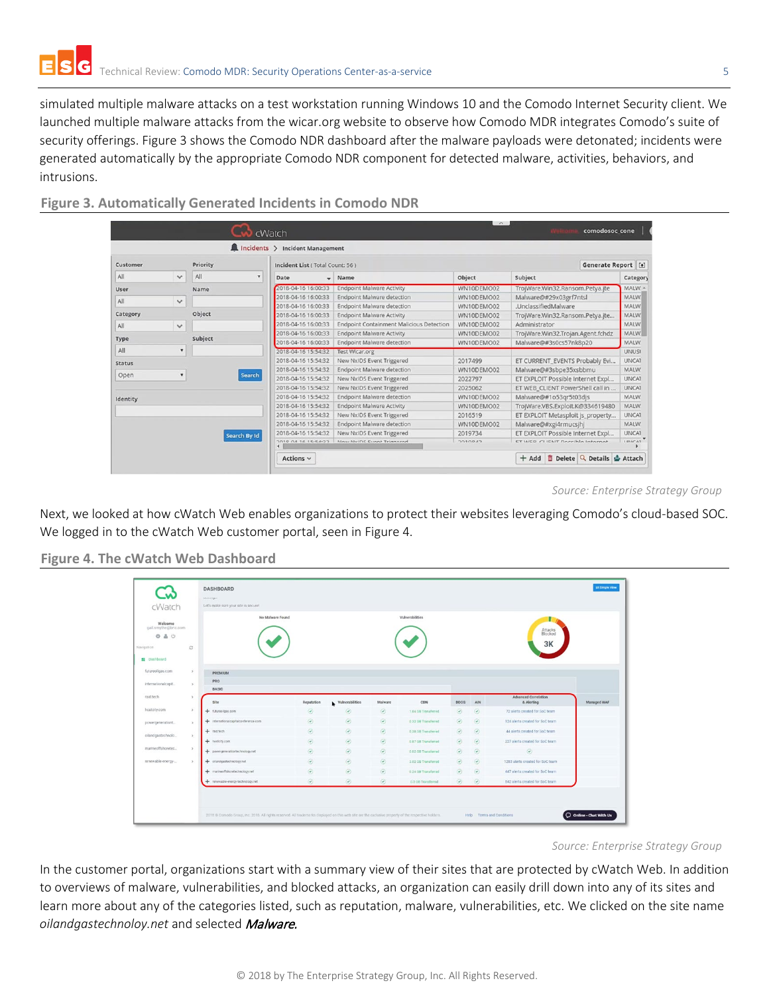simulated multiple malware attacks on a test workstation running Windows 10 and the Comodo Internet Security client. We launched multiple malware attacks from the wicar.org website to observe how Comodo MDR integrates Comodo's suite of security offerings. [Figure 3](#page-4-0) shows the Comodo NDR dashboard after the malware payloads were detonated; incidents were generated automatically by the appropriate Comodo NDR component for detected malware, activities, behaviors, and intrusions.

| Incidents > Incident Management |                                    |            |                                                 |                                             |                                  |              |               |  |  |
|---------------------------------|------------------------------------|------------|-------------------------------------------------|---------------------------------------------|----------------------------------|--------------|---------------|--|--|
|                                 | Generate Report [4]                |            | Priority<br>Customer                            |                                             |                                  |              |               |  |  |
| Category                        | Subject                            | Object     | Name                                            | Date                                        | All<br>$\boldsymbol{\mathrm{v}}$ | $\checkmark$ | All           |  |  |
| MALW.                           | TrojWare.Win32.Ransom.Petya.jte    | WN10DEMO02 | <b>Endpoint Malware Activity</b>                | 2018-04-16 16:00:33                         | Name                             |              | User          |  |  |
| <b>MALW</b>                     | Malware@#29x03grf7ntsl             | WN10DEMO02 | <b>Endpoint Malware detection</b>               | 2018-04-16 16:00:33                         |                                  | $\checkmark$ | All           |  |  |
| <b>MALW</b>                     | .UnclassifiedMalware               | WN10DEMO02 | <b>Endpoint Malware detection</b>               | 2018-04-16 16:00:33                         |                                  |              |               |  |  |
| <b>MALW</b>                     | TrojWare.Win32.Ransom.Petya.jte    | WN10DEMO02 | <b>Endpoint Malware Activity</b>                | 2018-04-16 16:00:33                         | Object                           |              | Category      |  |  |
| <b>MALW</b>                     | Administrator                      | WN10DEMO02 | <b>Endpoint Containment Malicious Detection</b> | 2018-04-16 16:00:33                         |                                  | $\checkmark$ | All           |  |  |
| <b>MALW</b>                     | TrojWare.Win32.Trojan.Agent.fchdz  | WN10DEMO02 | <b>Endpoint Malware Activity</b>                | 2018-04-16 16:00:33                         |                                  |              |               |  |  |
| <b>MALW</b>                     | Malware@#3s0cs57nk8p20             | WN10DEMO02 | <b>Endpoint Malware detection</b>               | 2018-04-16 16:00:33                         | Subject                          |              | Type          |  |  |
| <b>UNUSI</b>                    |                                    |            | Test Wicar.org                                  | 2018-04-16 15:54:32                         |                                  | ٠            | All           |  |  |
| <b>UNCAT</b>                    | ET CURRENT_EVENTS Probably Evi     | 2017499    | New NxIDS Event Triggered                       | 2018-04-16 15:54:32                         |                                  |              | <b>Status</b> |  |  |
| <b>MALW</b>                     | Malware@#3sbpe35xsbbmu             | WN10DEMO02 | <b>Endpoint Malware detection</b>               | 2018-04-16 15:54:32                         |                                  |              |               |  |  |
| <b>UNCAT</b>                    | ET EXPLOIT Possible Internet Expl  | 2022797    | New NxIDS Event Triggered                       | 2018-04-16 15:54:32                         | Search                           | ۰            | Open          |  |  |
| <b>UNCAT</b>                    | ET WEB CLIENT PowerShell call in   | 2025062    | New NxIDS Event Triggered                       | 2018-04-16 15:54:32                         |                                  |              |               |  |  |
| <b>MALW</b>                     | Malware@#1o53qr5t03djs             | WN10DEMO02 | Endpoint Malware detection                      | 2018-04-16 15:54:32                         |                                  |              | Identity      |  |  |
| <b>MALW</b>                     | TrojWare.VBS.Exploit.K@334619480   | WN10DEMO02 | <b>Endpoint Malware Activity</b>                | 2018-04-16 15:54:32                         |                                  |              |               |  |  |
| <b>UNCAT</b>                    | ET EXPLOIT Metasploit js_property  | 2016519    | New NxIDS Event Triggered                       | 2018-04-16 15:54:32                         |                                  |              |               |  |  |
| <b>MALW</b>                     | Malware@#xgi4rmucsjhj              | WN10DEMO02 | <b>Endpoint Malware detection</b>               | 2018-04-16 15:54:32                         |                                  |              |               |  |  |
| <b>UNCAT</b>                    | ET EXPLOIT Possible Internet Expl  | 2019734    | New NxIDS Event Triggered                       | 2018-04-16 15:54:32                         | Search By Id                     |              |               |  |  |
| <b>IINICAT</b>                  | CT IAICD CLIENIT Doccible Internet | 2010042    | Now NuINC Cunnt Triananad                       | 3010 04 16 15-54-22<br>$\blacktriangleleft$ |                                  |              |               |  |  |

<span id="page-4-0"></span>**Figure 3. Automatically Generated Incidents in Comodo NDR**

*Source: Enterprise Strategy Group*

Next, we looked at how cWatch Web enables organizations to protect their websites leveraging Comodo's cloud-based SOC. We logged in to the cWatch Web customer portal, seen i[n Figure 4.](#page-4-1)

<span id="page-4-1"></span>**Figure 4. The cWatch Web Dashboard**

| cWatch                                               |               | concernation | <b>DASHBOARD</b><br>Let's make sure your site is secure! |                 |                            |                                                                                                                                                                                                                                                                                                                                                     |                     |                                                                                                                                                                                                                                                                                                                                                     |                                                                                                                                                                                                                                                                                                                                                     |                                              | <b>El Simple View</b> |
|------------------------------------------------------|---------------|--------------|----------------------------------------------------------|-----------------|----------------------------|-----------------------------------------------------------------------------------------------------------------------------------------------------------------------------------------------------------------------------------------------------------------------------------------------------------------------------------------------------|---------------------|-----------------------------------------------------------------------------------------------------------------------------------------------------------------------------------------------------------------------------------------------------------------------------------------------------------------------------------------------------|-----------------------------------------------------------------------------------------------------------------------------------------------------------------------------------------------------------------------------------------------------------------------------------------------------------------------------------------------------|----------------------------------------------|-----------------------|
| Welcome<br>gail.smythe@bric.com<br>040<br>Navigation | $\mathbb C$   |              | No Malware Found                                         |                 |                            |                                                                                                                                                                                                                                                                                                                                                     | Vulnerabilities     |                                                                                                                                                                                                                                                                                                                                                     |                                                                                                                                                                                                                                                                                                                                                     | Attacks<br>Blocked<br>3K                     |                       |
| E Dashboard<br>futureoilgas.com                      | $\,$          |              | PREMIUM                                                  |                 |                            |                                                                                                                                                                                                                                                                                                                                                     |                     |                                                                                                                                                                                                                                                                                                                                                     |                                                                                                                                                                                                                                                                                                                                                     |                                              |                       |
| internationalcapit.                                  | $\rightarrow$ |              | PRO<br><b>BASIC</b>                                      |                 |                            |                                                                                                                                                                                                                                                                                                                                                     |                     |                                                                                                                                                                                                                                                                                                                                                     |                                                                                                                                                                                                                                                                                                                                                     |                                              |                       |
|                                                      |               |              |                                                          |                 |                            |                                                                                                                                                                                                                                                                                                                                                     |                     |                                                                                                                                                                                                                                                                                                                                                     |                                                                                                                                                                                                                                                                                                                                                     |                                              |                       |
| raid.tech                                            | $\,$          |              | Site                                                     |                 |                            | Malware                                                                                                                                                                                                                                                                                                                                             | CDN                 | <b>DDOS</b>                                                                                                                                                                                                                                                                                                                                         | AIN                                                                                                                                                                                                                                                                                                                                                 | <b>Advanced Correlation</b>                  |                       |
| hostcity.com                                         | $\mathbf{y}$  |              | + futureoligas.com                                       | Reputation<br>⊛ | vulnerabilities<br>$\odot$ | $\odot$                                                                                                                                                                                                                                                                                                                                             | 1.84 SB Transferred | ◉                                                                                                                                                                                                                                                                                                                                                   | $\begin{picture}(20,20) \put(0,0){\line(1,0){10}} \put(15,0){\line(1,0){10}} \put(25,0){\line(1,0){10}} \put(25,0){\line(1,0){10}} \put(25,0){\line(1,0){10}} \put(25,0){\line(1,0){10}} \put(25,0){\line(1,0){10}} \put(25,0){\line(1,0){10}} \put(25,0){\line(1,0){10}} \put(25,0){\line(1,0){10}} \put(25,0){\line(1,0){10}} \put(25,0){\line(1$ | & Alerting<br>72 alerts created for SoC team | Managed WAF           |
|                                                      | $\rightarrow$ |              | + internationalcapitalconference.com                     | $\odot$         | $\odot$                    | $\begin{picture}(20,20) \put(0,0){\line(1,0){10}} \put(15,0){\line(1,0){10}} \put(15,0){\line(1,0){10}} \put(15,0){\line(1,0){10}} \put(15,0){\line(1,0){10}} \put(15,0){\line(1,0){10}} \put(15,0){\line(1,0){10}} \put(15,0){\line(1,0){10}} \put(15,0){\line(1,0){10}} \put(15,0){\line(1,0){10}} \put(15,0){\line(1,0){10}} \put(15,0){\line(1$ | 0.32 GB Transferred | $\odot$                                                                                                                                                                                                                                                                                                                                             | $\begin{array}{c} \hline \text{ } \\ \text{ } \\ \text{ } \end{array}$                                                                                                                                                                                                                                                                              | 124 alerts created for SoC team              |                       |
| powergenerationt.                                    |               |              | $+$ raid tech                                            | $\odot$         | $\odot$                    | $\odot$                                                                                                                                                                                                                                                                                                                                             | 0.38.08 Transferred | $\begin{picture}(20,20) \put(0,0){\line(1,0){10}} \put(15,0){\line(1,0){10}} \put(25,0){\line(1,0){10}} \put(25,0){\line(1,0){10}} \put(25,0){\line(1,0){10}} \put(25,0){\line(1,0){10}} \put(25,0){\line(1,0){10}} \put(25,0){\line(1,0){10}} \put(25,0){\line(1,0){10}} \put(25,0){\line(1,0){10}} \put(25,0){\line(1,0){10}} \put(25,0){\line(1$ | $\begin{array}{c} \hline \text{ } \\ \text{ } \\ \text{ } \end{array}$                                                                                                                                                                                                                                                                              | 44 alerts created for SoC team               |                       |
| oilandgastechnolo                                    | $\,$          |              | $+$ hostcity com                                         | $\odot$         | $^\circledR$               | $\odot$                                                                                                                                                                                                                                                                                                                                             | 0.87 08 Transferred | $\odot$                                                                                                                                                                                                                                                                                                                                             | $\begin{array}{c} \hline \text{ } \\ \text{ } \\ \text{ } \end{array}$                                                                                                                                                                                                                                                                              | 227 alerts created for SoC team              |                       |
|                                                      | $\rightarrow$ |              | + powergenerationtechnology.net                          | ۵               | $\odot$                    | $\odot$                                                                                                                                                                                                                                                                                                                                             | 0.02 GB Transferred | $\odot$                                                                                                                                                                                                                                                                                                                                             | $_{\odot}$                                                                                                                                                                                                                                                                                                                                          | $\odot$                                      |                       |
|                                                      |               |              | + ollandgastechnology.net                                | $\odot$         | $\odot$                    | $\odot$                                                                                                                                                                                                                                                                                                                                             | 3.02 GB Transferred | $\circledcirc$                                                                                                                                                                                                                                                                                                                                      | $\circledcirc$                                                                                                                                                                                                                                                                                                                                      | 1283 alerts created for SoC team             |                       |
| marineoffshoretec<br>renewable-energy-               |               |              | + marineoffshoretechnology.net                           | $\odot$         | $\odot$                    | $\odot$                                                                                                                                                                                                                                                                                                                                             | 0.24 GB Transferred | $\odot$                                                                                                                                                                                                                                                                                                                                             | $\begin{array}{c} \hline \text{C} \end{array}$                                                                                                                                                                                                                                                                                                      | 447 alerts created for SoC team              |                       |

*Source: Enterprise Strategy Group*

In the customer portal, organizations start with a summary view of their sites that are protected by cWatch Web. In addition to overviews of malware, vulnerabilities, and blocked attacks, an organization can easily drill down into any of its sites and learn more about any of the categories listed, such as reputation, malware, vulnerabilities, etc. We clicked on the site name *oilandgastechnoloy.net* and selected Malware.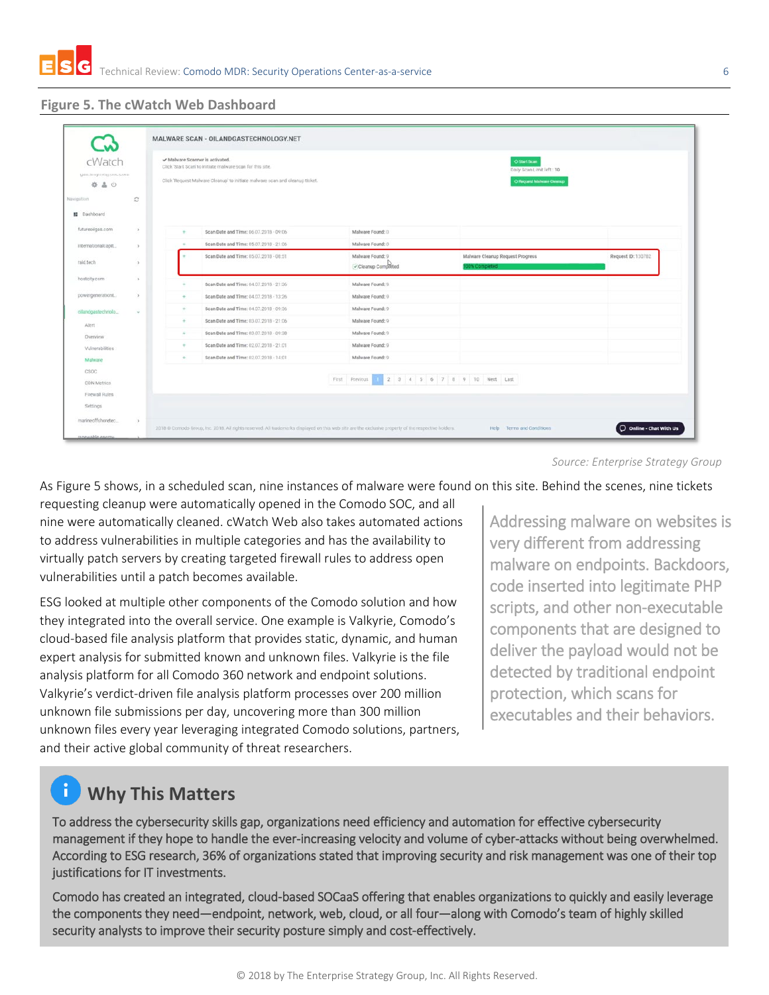

## **Figure 5. The cWatch Web Dashboard**

| cWatch                               |               | ✔ Malware Scanner is activated.                                     | Click 'Start Scan' to initiate malware scan for this site.                   |                                               | O Start Scan<br>Daily Scan Limit left : 10        |                    |
|--------------------------------------|---------------|---------------------------------------------------------------------|------------------------------------------------------------------------------|-----------------------------------------------|---------------------------------------------------|--------------------|
| spinsoregues@servisiona<br>÷.<br>A O |               |                                                                     | Click 'Request Malware Cleanup' to initiate malware scan and cleanup ticket. |                                               | O Request Malware Cleanup                         |                    |
| Navigation                           | $\mathcal{C}$ |                                                                     |                                                                              |                                               |                                                   |                    |
| <b>IE</b> Dashboard                  |               |                                                                     |                                                                              |                                               |                                                   |                    |
| futureoilgas.com                     | $\rightarrow$ | $\sim$                                                              | Scan Date and Time: 06.07.2018 - 09:06                                       | Malware Found: 0                              |                                                   |                    |
| internationalcapit                   | $\rightarrow$ | ÷                                                                   | Scan Date and Time: 05.07.2018 - 21:06                                       | Malware Found: 0                              |                                                   |                    |
| raid.tech                            | $\lambda$     |                                                                     | Scan Date and Time: 05.07.2018 - 08:51                                       | Malware Found: 9<br>Cleanup Completed         | Malware Cleanup Request Progress<br>00% Completed | Request ID: 130782 |
| hostcity.com                         | $\rightarrow$ |                                                                     | Scan Date and Time: 04.07.2018 - 21:36                                       | Malware Found: 9                              |                                                   |                    |
| powergenerationt.                    | $\rightarrow$ | $\sim$                                                              | Scan Date and Time: 04.07.2018 - 13:26                                       | Malware Found: 9                              |                                                   |                    |
| oilandgastechnolo                    | $\sim$        | $\frac{1}{2} \left( \frac{1}{2} \right) \left( \frac{1}{2} \right)$ | Scan Date and Time: 04.07.2018 - 09.36                                       | Malware Found: 0                              |                                                   |                    |
| Alert                                |               |                                                                     | Scan Date and Time: 03.07.2018 - 21:06                                       | Malware Found: 9                              |                                                   |                    |
| Overview                             |               | $+$                                                                 | Scan Date and Time: 03.07.2018 - 09:38                                       | Malware Found: 9                              |                                                   |                    |
| Vulnerabilities                      |               | $\sim$                                                              | Scan Date and Time: 02.07.2018 - 21:01                                       | Malware Found: 9                              |                                                   |                    |
| Malware                              |               | $\sim$                                                              | Scan Date and Time: 02.07.2018 - 14:01                                       | Malware Found: 9                              |                                                   |                    |
| CSOC.                                |               |                                                                     |                                                                              |                                               |                                                   |                    |
| <b>CDN Metrics</b>                   |               |                                                                     |                                                                              | First Previous 1 2 3 4 5 6 7 8 9 10 Next Last |                                                   |                    |
| Firewall Rules                       |               |                                                                     |                                                                              |                                               |                                                   |                    |
| Settings                             |               |                                                                     |                                                                              |                                               |                                                   |                    |

*Source: Enterprise Strategy Group*

As Figure 5 shows, in a scheduled scan, nine instances of malware were found on this site. Behind the scenes, nine tickets

requesting cleanup were automatically opened in the Comodo SOC, and all nine were automatically cleaned. cWatch Web also takes automated actions to address vulnerabilities in multiple categories and has the availability to virtually patch servers by creating targeted firewall rules to address open vulnerabilities until a patch becomes available.

ESG looked at multiple other components of the Comodo solution and how they integrated into the overall service. One example is Valkyrie, Comodo's cloud-based file analysis platform that provides static, dynamic, and human expert analysis for submitted known and unknown files. Valkyrie is the file analysis platform for all Comodo 360 network and endpoint solutions. Valkyrie's verdict-driven file analysis platform processes over 200 million unknown file submissions per day, uncovering more than 300 million unknown files every year leveraging integrated Comodo solutions, partners, and their active global community of threat researchers.

Addressing malware on websites is very different from addressing malware on endpoints. Backdoors, code inserted into legitimate PHP scripts, and other non-executable components that are designed to deliver the payload would not be detected by traditional endpoint protection, which scans for executables and their behaviors.

# **Why This Matters**

To address the cybersecurity skills gap, organizations need efficiency and automation for effective cybersecurity management if they hope to handle the ever-increasing velocity and volume of cyber-attacks without being overwhelmed. According to ESG research, 36% of organizations stated that improving security and risk management was one of their top justifications for IT investments.

Comodo has created an integrated, cloud-based SOCaaS offering that enables organizations to quickly and easily leverage the components they need—endpoint, network, web, cloud, or all four—along with Comodo's team of highly skilled security analysts to improve their security posture simply and cost-effectively.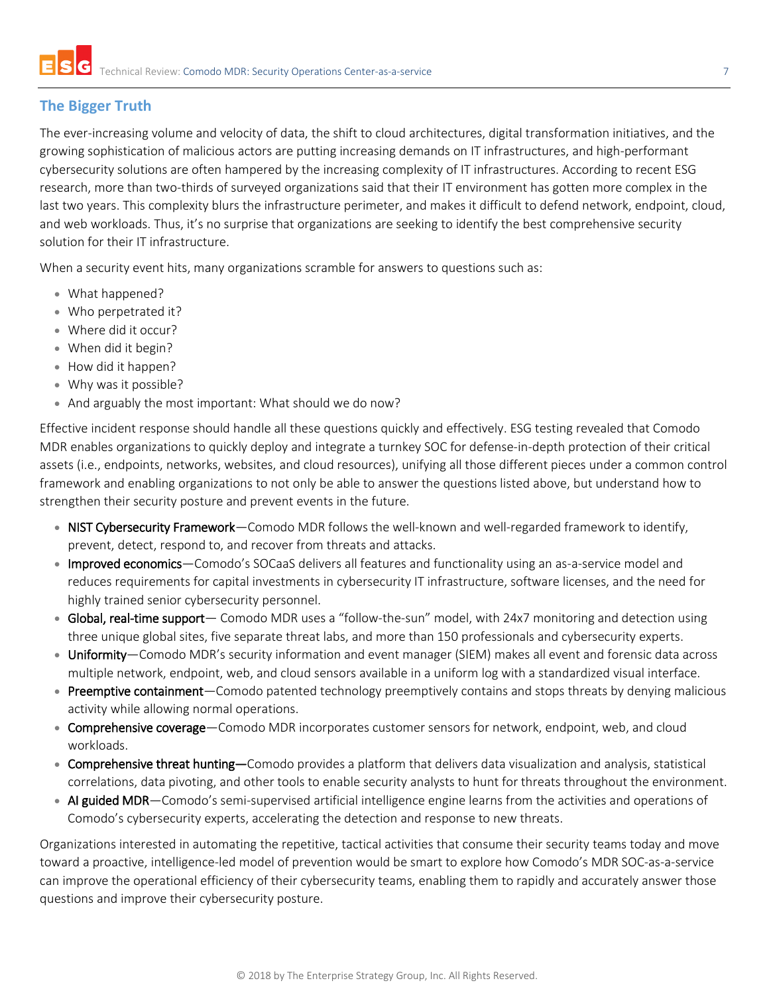## **The Bigger Truth**

The ever-increasing volume and velocity of data, the shift to cloud architectures, digital transformation initiatives, and the growing sophistication of malicious actors are putting increasing demands on IT infrastructures, and high-performant cybersecurity solutions are often hampered by the increasing complexity of IT infrastructures. According to recent ESG research, more than two-thirds of surveyed organizations said that their IT environment has gotten more complex in the last two years. This complexity blurs the infrastructure perimeter, and makes it difficult to defend network, endpoint, cloud, and web workloads. Thus, it's no surprise that organizations are seeking to identify the best comprehensive security solution for their IT infrastructure.

When a security event hits, many organizations scramble for answers to questions such as:

- What happened?
- Who perpetrated it?
- Where did it occur?
- When did it begin?
- How did it happen?
- Why was it possible?
- And arguably the most important: What should we do now?

Effective incident response should handle all these questions quickly and effectively. ESG testing revealed that Comodo MDR enables organizations to quickly deploy and integrate a turnkey SOC for defense-in-depth protection of their critical assets (i.e., endpoints, networks, websites, and cloud resources), unifying all those different pieces under a common control framework and enabling organizations to not only be able to answer the questions listed above, but understand how to strengthen their security posture and prevent events in the future.

- NIST Cybersecurity Framework—Comodo MDR follows the well-known and well-regarded framework to identify, prevent, detect, respond to, and recover from threats and attacks.
- Improved economics—Comodo's SOCaaS delivers all features and functionality using an as-a-service model and reduces requirements for capital investments in cybersecurity IT infrastructure, software licenses, and the need for highly trained senior cybersecurity personnel.
- Global, real-time support— Comodo MDR uses a "follow-the-sun" model, with 24x7 monitoring and detection using three unique global sites, five separate threat labs, and more than 150 professionals and cybersecurity experts.
- Uniformity—Comodo MDR's security information and event manager (SIEM) makes all event and forensic data across multiple network, endpoint, web, and cloud sensors available in a uniform log with a standardized visual interface.
- Preemptive containment—Comodo patented technology preemptively contains and stops threats by denying malicious activity while allowing normal operations.
- Comprehensive coverage-Comodo MDR incorporates customer sensors for network, endpoint, web, and cloud workloads.
- Comprehensive threat hunting—Comodo provides a platform that delivers data visualization and analysis, statistical correlations, data pivoting, and other tools to enable security analysts to hunt for threats throughout the environment.
- AI guided MDR—Comodo's semi-supervised artificial intelligence engine learns from the activities and operations of Comodo's cybersecurity experts, accelerating the detection and response to new threats.

Organizations interested in automating the repetitive, tactical activities that consume their security teams today and move toward a proactive, intelligence-led model of prevention would be smart to explore how Comodo's MDR SOC-as-a-service can improve the operational efficiency of their cybersecurity teams, enabling them to rapidly and accurately answer those questions and improve their cybersecurity posture.